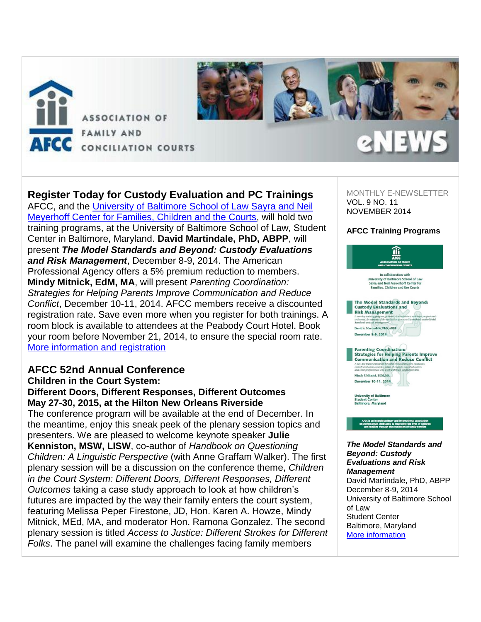

#### **Register Today for Custody Evaluation and PC Trainings** AFCC, and the [University of Baltimore School of Law Sayra and Neil](http://afcc.networkats.com/members_online/utilities/emailct.asp?d93cc65a412a225c9b31e93c1da99cf587358266cdfa29b97e7f79b4f2df505940714aebb27d50c4)  [Meyerhoff Center for Families, Children and the Courts,](http://afcc.networkats.com/members_online/utilities/emailct.asp?d93cc65a412a225c9b31e93c1da99cf587358266cdfa29b97e7f79b4f2df505940714aebb27d50c4) will hold two training programs, at the University of Baltimore School of Law, Student Center in Baltimore, Maryland. **David Martindale, PhD, ABPP**, will present *The Model Standards and Beyond: Custody Evaluations and Risk Management*, December 8-9, 2014. The American Professional Agency offers a 5% premium reduction to members. **Mindy Mitnick, EdM, MA**, will present *Parenting Coordination: Strategies for Helping Parents Improve Communication and Reduce Conflict*, December 10-11, 2014. AFCC members receive a discounted registration rate. Save even more when you register for both trainings. A room block is available to attendees at the Peabody Court Hotel. Book your room before November 21, 2014, to ensure the special room rate. [More information and registration](http://afcc.networkats.com/members_online/utilities/emailct.asp?8fb0758c91f394464f84ae4c8016e3ab1109b05ccdfa29b97e7f79b4f2df505940714aebb27d50c4)

# **AFCC 52nd Annual Conference**

### **Children in the Court System:**

### **Different Doors, Different Responses, Different Outcomes May 27-30, 2015, at the Hilton New Orleans Riverside**

The conference program will be available at the end of December. In the meantime, enjoy this sneak peek of the plenary session topics and presenters. We are pleased to welcome keynote speaker **Julie Kenniston, MSW, LISW**, co-author of *Handbook on Questioning Children: A Linguistic Perspective* (with Anne Graffam Walker). The first plenary session will be a discussion on the conference theme, *Children in the Court System: Different Doors, Different Responses, Different Outcomes* taking a case study approach to look at how children's futures are impacted by the way their family enters the court system, featuring Melissa Peper Firestone, JD, Hon. Karen A. Howze, Mindy Mitnick, MEd, MA, and moderator Hon. Ramona Gonzalez. The second plenary session is titled *Access to Justice: Different Strokes for Different Folks*. The panel will examine the challenges facing family members

MONTHLY E-NEWSLETTER VOL. 9 NO. 11 NOVEMBER 2014

#### **AFCC Training Programs**



#### *The Model Standards and Beyond: Custody Evaluations and Risk Management*

David Martindale, PhD, ABPP December 8-9, 2014 University of Baltimore School of Law Student Center Baltimore, Maryland [More information](http://afcc.networkats.com/members_online/utilities/emailct.asp?8fb0758c91f394464f84ae4c8016e3ab1109b05ccdfa29b97e7f79b4f2df505940714aebb27d50c4)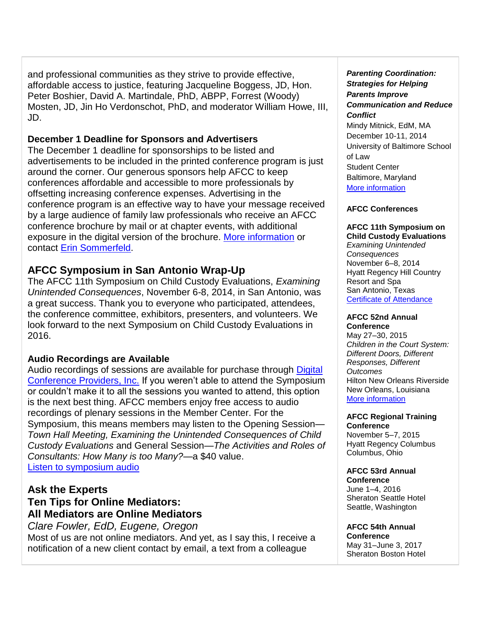and professional communities as they strive to provide effective, affordable access to justice, featuring Jacqueline Boggess, JD, Hon. Peter Boshier, David A. Martindale, PhD, ABPP, Forrest (Woody) Mosten, JD, Jin Ho Verdonschot, PhD, and moderator William Howe, III, JD.

## **December 1 Deadline for Sponsors and Advertisers**

The December 1 deadline for sponsorships to be listed and advertisements to be included in the printed conference program is just around the corner. Our generous sponsors help AFCC to keep conferences affordable and accessible to more professionals by offsetting increasing conference expenses. Advertising in the conference program is an effective way to have your message received by a large audience of family law professionals who receive an AFCC conference brochure by mail or at chapter events, with additional exposure in the digital version of the brochure. [More information](http://afcc.networkats.com/members_online/utilities/emailct.asp?9dd10882dab7829b8742268dc8546b2270f1b3bbcdfa29b97e7f79b4f2df505940714aebb27d50c4) or contact [Erin Sommerfeld.](mailto:esommerfeld@afccnet.org)

## **AFCC Symposium in San Antonio Wrap-Up**

The AFCC 11th Symposium on Child Custody Evaluations, *Examining Unintended Consequences*, November 6-8, 2014, in San Antonio, was a great success. Thank you to everyone who participated, attendees, the conference committee, exhibitors, presenters, and volunteers. We look forward to the next Symposium on Child Custody Evaluations in 2016.

## **Audio Recordings are Available**

Audio recordings of sessions are available for purchase through [Digital](http://afcc.networkats.com/members_online/utilities/emailct.asp?bc45b7dabfb513d203a85dc4dd23e9e95604e177cdfa29b97e7f79b4f2df505940714aebb27d50c4)  [Conference Providers, Inc.](http://afcc.networkats.com/members_online/utilities/emailct.asp?bc45b7dabfb513d203a85dc4dd23e9e95604e177cdfa29b97e7f79b4f2df505940714aebb27d50c4) If you weren't able to attend the Symposium or couldn't make it to all the sessions you wanted to attend, this option is the next best thing. AFCC members enjoy free access to audio recordings of plenary sessions in the Member Center. For the Symposium, this means members may listen to the Opening Session— *Town Hall Meeting, Examining the Unintended Consequences of Child Custody Evaluations* and General Session—*The Activities and Roles of Consultants: How Many is too Many?*—a \$40 value. [Listen to symposium audio](http://afcc.networkats.com/members_online/utilities/emailct.asp?c77554b96db9027e3744dfd2e097fe147a8864f0cdfa29b97e7f79b4f2df505940714aebb27d50c4)

## **Ask the Experts Ten Tips for Online Mediators: All Mediators are Online Mediators**

*Clare Fowler, EdD, Eugene, Oregon*  Most of us are not online mediators. And yet, as I say this, I receive a notification of a new client contact by email, a text from a colleague

*Parenting Coordination: Strategies for Helping Parents Improve Communication and Reduce Conflict* Mindy Mitnick, EdM, MA December 10-11, 2014 University of Baltimore School of Law Student Center Baltimore, Maryland [More information](http://afcc.networkats.com/members_online/utilities/emailct.asp?8fb0758c91f394464f84ae4c8016e3ab1109b05ccdfa29b97e7f79b4f2df505940714aebb27d50c4)

#### **AFCC Conferences**

**AFCC 11th Symposium on Child Custody Evaluations**

*Examining Unintended Consequences* November 6–8, 2014 Hyatt Regency Hill Country Resort and Spa San Antonio, Texas [Certificate of Attendance](http://afcc.networkats.com/members_online/utilities/emailct.asp?9d8d519d1c93e18fdbf5b2a5f17c31d8e9561efecdfa29b97e7f79b4f2df505940714aebb27d50c4)

#### **AFCC 52nd Annual Conference**

May 27–30, 2015 *Children in the Court System: Different Doors, Different Responses, Different Outcomes* Hilton New Orleans Riverside New Orleans, Louisiana [More information](http://afcc.networkats.com/members_online/utilities/emailct.asp?3fcd053cba811b69818e9917cab0350dd44f6e65cdfa29b97e7f79b4f2df505940714aebb27d50c4)

#### **AFCC Regional Training Conference**

November 5–7, 2015 Hyatt Regency Columbus Columbus, Ohio

#### **AFCC 53rd Annual Conference**

June 1–4, 2016 Sheraton Seattle Hotel Seattle, Washington

## **AFCC 54th Annual**

**Conference** May 31–June 3, 2017 Sheraton Boston Hotel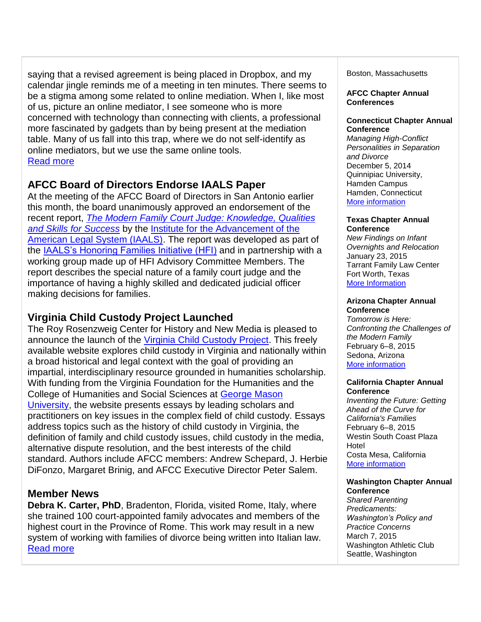saying that a revised agreement is being placed in Dropbox, and my calendar jingle reminds me of a meeting in ten minutes. There seems to be a stigma among some related to online mediation. When I, like most of us, picture an online mediator, I see someone who is more concerned with technology than connecting with clients, a professional more fascinated by gadgets than by being present at the mediation table. Many of us fall into this trap, where we do not self-identify as online mediators, but we use the same online tools. [Read more](http://afcc.networkats.com/members_online/utilities/emailct.asp?f942a1a8e4cc5fb92a0467ed9a37e698dc9195d7cdfa29b97e7f79b4f2df505940714aebb27d50c4)

# **AFCC Board of Directors Endorse IAALS Paper**

At the meeting of the AFCC Board of Directors in San Antonio earlier this month, the board unanimously approved an endorsement of the recent report, *[The Modern Family Court Judge: Knowledge, Qualities](http://afcc.networkats.com/members_online/utilities/emailct.asp?63e9a1dc87f88b7a4730b1d285fa842b6592e6cbcdfa29b97e7f79b4f2df505940714aebb27d50c4)  [and Skills for Success](http://afcc.networkats.com/members_online/utilities/emailct.asp?63e9a1dc87f88b7a4730b1d285fa842b6592e6cbcdfa29b97e7f79b4f2df505940714aebb27d50c4)* by the [Institute for the Advancement of the](http://afcc.networkats.com/members_online/utilities/emailct.asp?826ed7569df355474ad9825b22410076ca1c9b81cdfa29b97e7f79b4f2df505940714aebb27d50c4)  [American Legal System \(IAALS\).](http://afcc.networkats.com/members_online/utilities/emailct.asp?826ed7569df355474ad9825b22410076ca1c9b81cdfa29b97e7f79b4f2df505940714aebb27d50c4) The report was developed as part of the [IAALS's Honoring Families Initiative \(HFI\)](http://afcc.networkats.com/members_online/utilities/emailct.asp?cd6f72dccce04c26d24f03b02ebf3b8f9ba3f612cdfa29b97e7f79b4f2df505940714aebb27d50c4) and in partnership with a working group made up of HFI Advisory Committee Members. The report describes the special nature of a family court judge and the importance of having a highly skilled and dedicated judicial officer making decisions for families.

# **Virginia Child Custody Project Launched**

The Roy Rosenzweig Center for History and New Media is pleased to announce the launch of the [Virginia Child Custody Project.](http://afcc.networkats.com/members_online/utilities/emailct.asp?1f4fa8e73f35d64e51534c0cd958d38e6dec9b79cdfa29b97e7f79b4f2df505940714aebb27d50c4) This freely available website explores child custody in Virginia and nationally within a broad historical and legal context with the goal of providing an impartial, interdisciplinary resource grounded in humanities scholarship. With funding from the Virginia Foundation for the Humanities and the College of Humanities and Social Sciences at [George Mason](http://afcc.networkats.com/members_online/utilities/emailct.asp?171ffc67693544a260c46943fca0841d15101b9ecdfa29b97e7f79b4f2df505940714aebb27d50c4)  [University,](http://afcc.networkats.com/members_online/utilities/emailct.asp?171ffc67693544a260c46943fca0841d15101b9ecdfa29b97e7f79b4f2df505940714aebb27d50c4) the website presents essays by leading scholars and practitioners on key issues in the complex field of child custody. Essays address topics such as the history of child custody in Virginia, the definition of family and child custody issues, child custody in the media, alternative dispute resolution, and the best interests of the child standard. Authors include AFCC members: Andrew Schepard, J. Herbie DiFonzo, Margaret Brinig, and AFCC Executive Director Peter Salem.

## **Member News**

**Debra K. Carter, PhD**, Bradenton, Florida, visited Rome, Italy, where she trained 100 court-appointed family advocates and members of the highest court in the Province of Rome. This work may result in a new system of working with families of divorce being written into Italian law. [Read more](http://afcc.networkats.com/members_online/utilities/emailct.asp?962f72a21b0bf7482e60c9eb5d2c7d7531aa6d8fcdfa29b97e7f79b4f2df505940714aebb27d50c4)

Boston, Massachusetts

**AFCC Chapter Annual Conferences**

#### **Connecticut Chapter Annual Conference**

*Managing High-Conflict Personalities in Separation and Divorce* December 5, 2014 Quinnipiac University, Hamden Campus Hamden, Connecticut [More information](http://afcc.networkats.com/members_online/utilities/emailct.asp?76f0d237f48a0d0f23e85002596f74528ccfe4cccdfa29b97e7f79b4f2df505940714aebb27d50c4)

#### **Texas Chapter Annual Conference**

*New Findings on Infant Overnights and Relocation* January 23, 2015 Tarrant Family Law Center Fort Worth, Texas [More Information](http://afcc.networkats.com/members_online/utilities/emailct.asp?bb5c736a91d6dbaf625c4277d8298b496675d724cdfa29b97e7f79b4f2df505940714aebb27d50c4)

#### **Arizona Chapter Annual Conference**

*Tomorrow is Here: Confronting the Challenges of the Modern Family* February 6–8, 2015 Sedona, Arizona [More information](http://afcc.networkats.com/members_online/utilities/emailct.asp?466b60fb405b31ccdd0f437cbc284889cf618c56cdfa29b97e7f79b4f2df505940714aebb27d50c4)

#### **California Chapter Annual Conference**

*Inventing the Future: Getting Ahead of the Curve for California's Families* February 6–8, 2015 Westin South Coast Plaza Hotel Costa Mesa, California [More information](http://afcc.networkats.com/members_online/utilities/emailct.asp?5c01b4e81f03d94d38b6ae9f82eebbb00c96abb0cdfa29b97e7f79b4f2df505940714aebb27d50c4)

#### **Washington Chapter Annual Conference**

*Shared Parenting Predicaments: Washington's Policy and Practice Concerns* March 7, 2015 Washington Athletic Club Seattle, Washington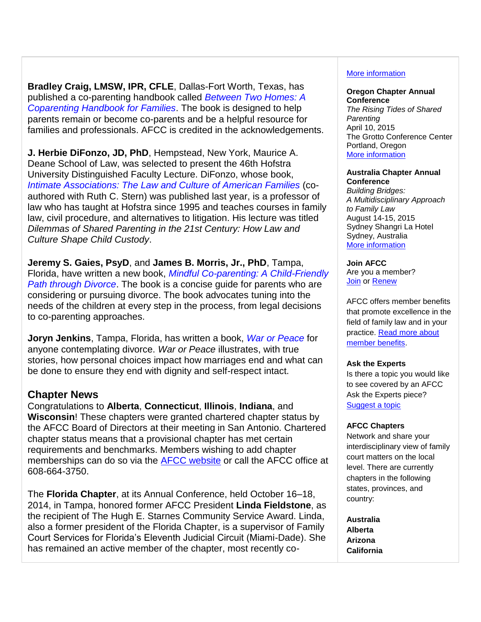**Bradley Craig, LMSW, IPR, CFLE**, Dallas-Fort Worth, Texas, has published a co-parenting handbook called *[Between Two Homes: A](http://afcc.networkats.com/members_online/utilities/emailct.asp?b16457975c07b449989d2e666f7a27877ffcb96ecdfa29b97e7f79b4f2df505940714aebb27d50c4)  [Coparenting Handbook for Families](http://afcc.networkats.com/members_online/utilities/emailct.asp?b16457975c07b449989d2e666f7a27877ffcb96ecdfa29b97e7f79b4f2df505940714aebb27d50c4)*. The book is designed to help parents remain or become co-parents and be a helpful resource for families and professionals. AFCC is credited in the acknowledgements.

**J. Herbie DiFonzo, JD, PhD**, Hempstead, New York, Maurice A. Deane School of Law, was selected to present the 46th Hofstra University Distinguished Faculty Lecture. DiFonzo, whose book, *[Intimate Associations: The Law and Culture](http://afcc.networkats.com/members_online/utilities/emailct.asp?e8c858640d70f312f36cf58d68c49f762b2b8222cdfa29b97e7f79b4f2df505940714aebb27d50c4) of American Families* (coauthored with Ruth C. Stern) was published last year, is a professor of law who has taught at Hofstra since 1995 and teaches courses in family law, civil procedure, and alternatives to litigation. His lecture was titled *Dilemmas of Shared Parenting in the 21st Century: How Law and Culture Shape Child Custody*.

**Jeremy S. Gaies, PsyD**, and **James B. Morris, Jr., PhD**, Tampa, Florida, have written a new book, *[Mindful Co-parenting: A Child-Friendly](http://afcc.networkats.com/members_online/utilities/emailct.asp?0f82302618690cebf5e5dca3a2d6aeaf66731eeccdfa29b97e7f79b4f2df505940714aebb27d50c4)  [Path through Divorce](http://afcc.networkats.com/members_online/utilities/emailct.asp?0f82302618690cebf5e5dca3a2d6aeaf66731eeccdfa29b97e7f79b4f2df505940714aebb27d50c4)*. The book is a concise guide for parents who are considering or pursuing divorce. The book advocates tuning into the needs of the children at every step in the process, from legal decisions to co-parenting approaches.

**Joryn Jenkins**, Tampa, Florida, has written a book, *[War or Peace](http://afcc.networkats.com/members_online/utilities/emailct.asp?3e7b0c889ef7f324ed2c2feae7cf3ebc5146afdacdfa29b97e7f79b4f2df505940714aebb27d50c4)* for anyone contemplating divorce. *War or Peace* illustrates, with true stories, how personal choices impact how marriages end and what can be done to ensure they end with dignity and self-respect intact.

## **Chapter News**

Congratulations to **Alberta**, **Connecticut**, **Illinois**, **Indiana**, and **Wisconsin**! These chapters were granted chartered chapter status by the AFCC Board of Directors at their meeting in San Antonio. Chartered chapter status means that a provisional chapter has met certain requirements and benchmarks. Members wishing to add chapter memberships can do so via the [AFCC website](http://afcc.networkats.com/members_online/utilities/emailct.asp?4f41c28b2a1ac2f8915634cd347583b5f872f635cdfa29b97e7f79b4f2df505940714aebb27d50c4) or call the AFCC office at 608-664-3750.

The **Florida Chapter**, at its Annual Conference, held October 16–18, 2014, in Tampa, honored former AFCC President **Linda Fieldstone**, as the recipient of The Hugh E. Starnes Community Service Award. Linda, also a former president of the Florida Chapter, is a supervisor of Family Court Services for Florida's Eleventh Judicial Circuit (Miami-Dade). She has remained an active member of the chapter, most recently co-

#### [More information](http://afcc.networkats.com/members_online/utilities/emailct.asp?8de5fbaec63d288ce1f79c6149710495f6a983cecdfa29b97e7f79b4f2df505940714aebb27d50c4)

## **Oregon Chapter Annual**

**Conference** *The Rising Tides of Shared Parenting* April 10, 2015 The Grotto Conference Center Portland, Oregon [More information](http://afcc.networkats.com/members_online/utilities/emailct.asp?24804180c81838bb81f20858d01143338e47ed67cdfa29b97e7f79b4f2df505940714aebb27d50c4)

#### **Australia Chapter Annual Conference**

*Building Bridges: A Multidisciplinary Approach to Family Law* August 14-15, 2015 Sydney Shangri La Hotel Sydney, Australia [More information](mailto:drjenniferneoh@gmail.com) 

## **Join AFCC**

Are you a member? **[Join](http://afcc.networkats.com/members_online/utilities/emailct.asp?aa9d348d1526782dff174f281198df157e5870a2cdfa29b97e7f79b4f2df505940714aebb27d50c4) or [Renew](http://afcc.networkats.com/members_online/utilities/emailct.asp?b736f23842b7b412fb0f759a77e8b713aff78ecacdfa29b97e7f79b4f2df505940714aebb27d50c4)** 

AFCC offers member benefits that promote excellence in the field of family law and in your practice. Read more about [member benefits.](http://afcc.networkats.com/members_online/utilities/emailct.asp?5ad83c6b1256b4db5254bd78ee44ad82d6fdb535cdfa29b97e7f79b4f2df505940714aebb27d50c4)

#### **Ask the Experts**

Is there a topic you would like to see covered by an AFCC Ask the Experts piece? [Suggest a topic](mailto:editor@afccnet.org)

#### **AFCC Chapters**

Network and share your interdisciplinary view of family court matters on the local level. There are currently chapters in the following states, provinces, and country:

**Australia Alberta Arizona California**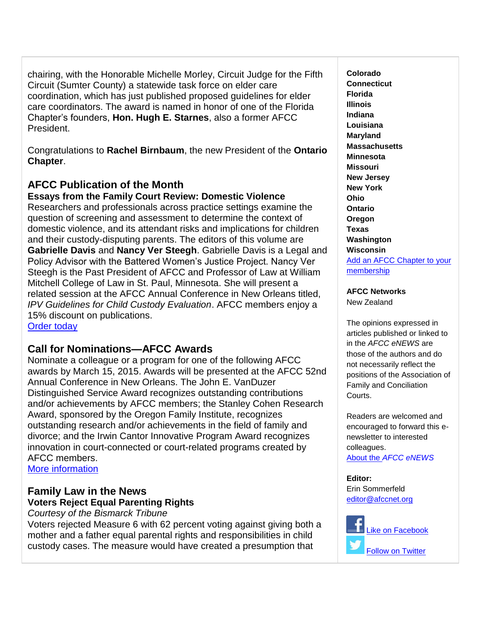chairing, with the Honorable Michelle Morley, Circuit Judge for the Fifth Circuit (Sumter County) a statewide task force on elder care coordination, which has just published proposed guidelines for elder care coordinators. The award is named in honor of one of the Florida Chapter's founders, **Hon. Hugh E. Starnes**, also a former AFCC President.

Congratulations to **Rachel Birnbaum**, the new President of the **Ontario Chapter**.

# **AFCC Publication of the Month**

**Essays from the Family Court Review: Domestic Violence**

Researchers and professionals across practice settings examine the question of screening and assessment to determine the context of domestic violence, and its attendant risks and implications for children and their custody-disputing parents. The editors of this volume are **Gabrielle Davis** and **Nancy Ver Steegh**. Gabrielle Davis is a Legal and Policy Advisor with the Battered Women's Justice Project. Nancy Ver Steegh is the Past President of AFCC and Professor of Law at William Mitchell College of Law in St. Paul, Minnesota. She will present a related session at the AFCC Annual Conference in New Orleans titled, *IPV Guidelines for Child Custody Evaluation*. AFCC members enjoy a 15% discount on publications. [Order today](http://afcc.networkats.com/members_online/utilities/emailct.asp?3e588cd429a928fb91be5c11b21f5ee476e9fb7acdfa29b97e7f79b4f2df505940714aebb27d50c4)

# **Call for Nominations—AFCC Awards**

Nominate a colleague or a program for one of the following AFCC awards by March 15, 2015. Awards will be presented at the AFCC 52nd Annual Conference in New Orleans. The John E. VanDuzer Distinguished Service Award recognizes outstanding contributions and/or achievements by AFCC members; the Stanley Cohen Research Award, sponsored by the Oregon Family Institute, recognizes outstanding research and/or achievements in the field of family and divorce; and the Irwin Cantor Innovative Program Award recognizes innovation in court-connected or court-related programs created by AFCC members.

More [information](http://afcc.networkats.com/members_online/utilities/emailct.asp?932145ef2528e8e4c75163ff8e49cf1a6c540d45cdfa29b97e7f79b4f2df505940714aebb27d50c4) 

# **Family Law in the News Voters Reject Equal Parenting Rights**

*Courtesy of the Bismarck Tribune*

Voters rejected Measure 6 with 62 percent voting against giving both a mother and a father equal parental rights and responsibilities in child custody cases. The measure would have created a presumption that

**Colorado Connecticut Florida Illinois Indiana Louisiana Maryland Massachusetts Minnesota Missouri New Jersey New York Ohio Ontario Oregon Texas Washington Wisconsin** [Add an AFCC Chapter to your](http://afcc.networkats.com/members_online/utilities/emailct.asp?4f41c28b2a1ac2f8915634cd347583b5f872f635cdfa29b97e7f79b4f2df505940714aebb27d50c4)  [membership](http://afcc.networkats.com/members_online/utilities/emailct.asp?4f41c28b2a1ac2f8915634cd347583b5f872f635cdfa29b97e7f79b4f2df505940714aebb27d50c4)

## **AFCC Networks**

New Zealand

The opinions expressed in articles published or linked to in the *AFCC eNEWS* are those of the authors and do not necessarily reflect the positions of the Association of Family and Conciliation Courts.

Readers are welcomed and encouraged to forward this enewsletter to interested colleagues.

About the *[AFCC eNEWS](http://afcc.networkats.com/members_online/utilities/emailct.asp?b8255c69c82bf6240e4a122b73528d7a9b827289cdfa29b97e7f79b4f2df505940714aebb27d50c4)*

**Editor:**  Erin Sommerfeld [editor@afccnet.org](mailto:editor@afccnet.org)

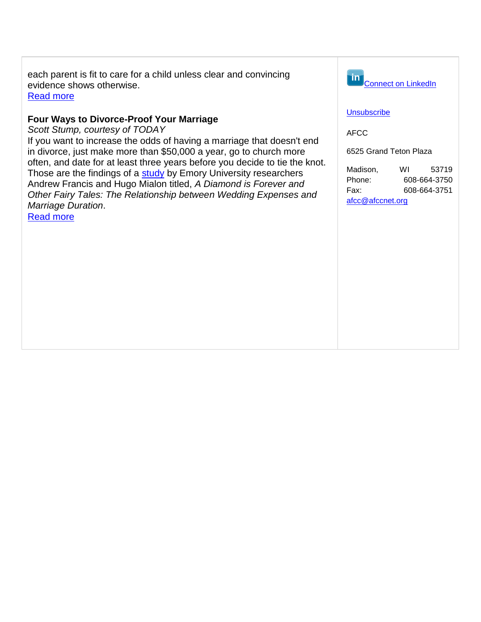each parent is fit to care for a child unless clear and convincing evidence shows otherwise. [Read more](http://afcc.networkats.com/members_online/utilities/emailct.asp?4c931746a2f16df531dfb0a3adb977c7cc38da8fcdfa29b97e7f79b4f2df505940714aebb27d50c4)

### **Four Ways to Divorce-Proof Your Marriage**

*Scott Stump, courtesy of TODAY*

If you want to increase the odds of having a marriage that doesn't end in divorce, just make more than \$50,000 a year, go to church more often, and date for at least three years before you decide to tie the knot. Those are the findings of a [study](http://afcc.networkats.com/members_online/utilities/emailct.asp?0f66c75df2b056c68c9f15bfac5ae7d57d51d755cdfa29b97e7f79b4f2df505940714aebb27d50c4) by Emory University researchers Andrew Francis and Hugo Mialon titled, *A Diamond is Forever and Other Fairy Tales: The Relationship between Wedding Expenses and Marriage Duration*.

[Read more](http://afcc.networkats.com/members_online/utilities/emailct.asp?bb32d3dd8fb254d8706af1e7dd610b77ef94b1e0cdfa29b97e7f79b4f2df505940714aebb27d50c4)



#### **[Unsubscribe](mailto:afcc@afccnet.org)**

AFCC

6525 Grand Teton Plaza

Madison, WI 53719 Phone: 608-664-3750 Fax: 608-664-3751 [afcc@afccnet.org](mailto:afcc@afccnet.org)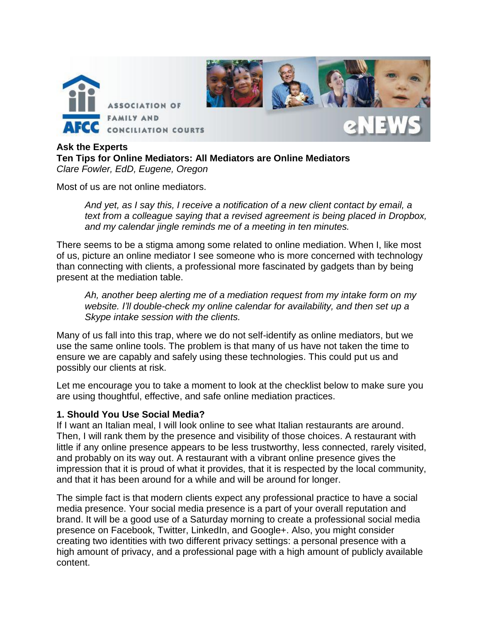

**Ask the Experts Ten Tips for Online Mediators: All Mediators are Online Mediators** *Clare Fowler, EdD, Eugene, Oregon*

Most of us are not online mediators.

*And yet, as I say this, I receive a notification of a new client contact by email, a*  text from a colleague saying that a revised agreement is being placed in Dropbox, *and my calendar jingle reminds me of a meeting in ten minutes.* 

There seems to be a stigma among some related to online mediation. When I, like most of us, picture an online mediator I see someone who is more concerned with technology than connecting with clients, a professional more fascinated by gadgets than by being present at the mediation table.

*Ah, another beep alerting me of a mediation request from my intake form on my website. I'll double-check my online calendar for availability, and then set up a Skype intake session with the clients.* 

Many of us fall into this trap, where we do not self-identify as online mediators, but we use the same online tools. The problem is that many of us have not taken the time to ensure we are capably and safely using these technologies. This could put us and possibly our clients at risk.

Let me encourage you to take a moment to look at the checklist below to make sure you are using thoughtful, effective, and safe online mediation practices.

### **1. Should You Use Social Media?**

If I want an Italian meal, I will look online to see what Italian restaurants are around. Then, I will rank them by the presence and visibility of those choices. A restaurant with little if any online presence appears to be less trustworthy, less connected, rarely visited, and probably on its way out. A restaurant with a vibrant online presence gives the impression that it is proud of what it provides, that it is respected by the local community, and that it has been around for a while and will be around for longer.

The simple fact is that modern clients expect any professional practice to have a social media presence. Your social media presence is a part of your overall reputation and brand. It will be a good use of a Saturday morning to create a professional social media presence on Facebook, Twitter, LinkedIn, and Google+. Also, you might consider creating two identities with two different privacy settings: a personal presence with a high amount of privacy, and a professional page with a high amount of publicly available content.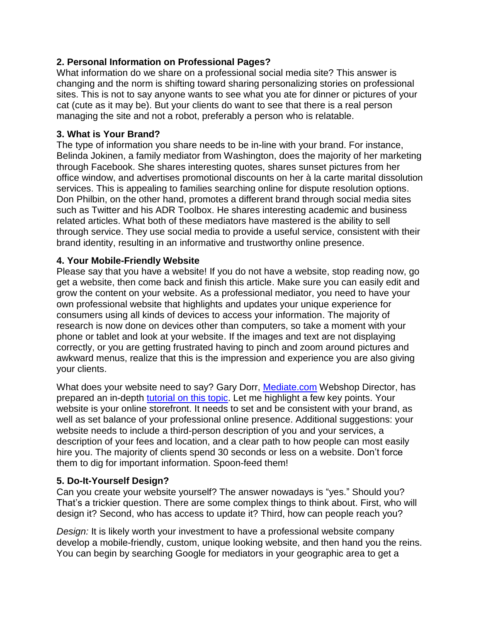## **2. Personal Information on Professional Pages?**

What information do we share on a professional social media site? This answer is changing and the norm is shifting toward sharing personalizing stories on professional sites. This is not to say anyone wants to see what you ate for dinner or pictures of your cat (cute as it may be). But your clients do want to see that there is a real person managing the site and not a robot, preferably a person who is relatable.

### **3. What is Your Brand?**

The type of information you share needs to be in-line with your brand. For instance, Belinda Jokinen, a family mediator from Washington, does the majority of her marketing through Facebook. She shares interesting quotes, shares sunset pictures from her office window, and advertises promotional discounts on her à la carte marital dissolution services. This is appealing to families searching online for dispute resolution options. Don Philbin, on the other hand, promotes a different brand through social media sites such as Twitter and his ADR Toolbox. He shares interesting academic and business related articles. What both of these mediators have mastered is the ability to sell through service. They use social media to provide a useful service, consistent with their brand identity, resulting in an informative and trustworthy online presence.

### **4. Your Mobile-Friendly Website**

Please say that you have a website! If you do not have a website, stop reading now, go get a website, then come back and finish this article. Make sure you can easily edit and grow the content on your website. As a professional mediator, you need to have your own professional website that highlights and updates your unique experience for consumers using all kinds of devices to access your information. The majority of research is now done on devices other than computers, so take a moment with your phone or tablet and look at your website. If the images and text are not displaying correctly, or you are getting frustrated having to pinch and zoom around pictures and awkward menus, realize that this is the impression and experience you are also giving your clients.

What does your website need to say? Gary Dorr, [Mediate.com](http://mediate.com/) Webshop Director, has prepared an in-depth [tutorial on this topic.](http://www.mediate.com/webshop/quickstart) Let me highlight a few key points. Your website is your online storefront. It needs to set and be consistent with your brand, as well as set balance of your professional online presence. Additional suggestions: your website needs to include a third-person description of you and your services, a description of your fees and location, and a clear path to how people can most easily hire you. The majority of clients spend 30 seconds or less on a website. Don't force them to dig for important information. Spoon-feed them!

## **5. Do-It-Yourself Design?**

Can you create your website yourself? The answer nowadays is "yes." Should you? That's a trickier question. There are some complex things to think about. First, who will design it? Second, who has access to update it? Third, how can people reach you?

*Design:* It is likely worth your investment to have a professional website company develop a mobile-friendly, custom, unique looking website, and then hand you the reins. You can begin by searching Google for mediators in your geographic area to get a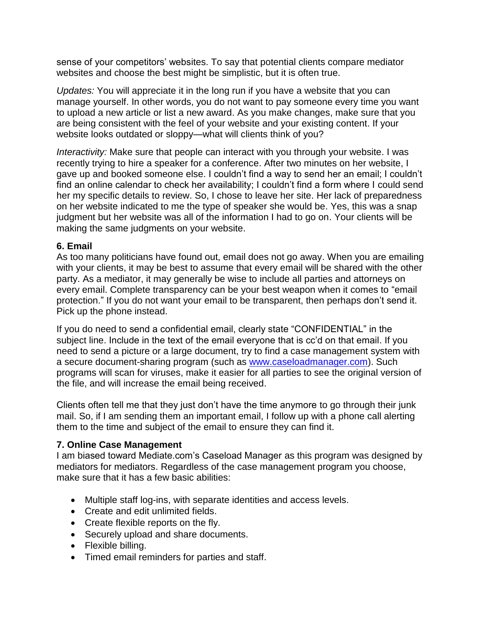sense of your competitors' websites. To say that potential clients compare mediator websites and choose the best might be simplistic, but it is often true.

*Updates:* You will appreciate it in the long run if you have a website that you can manage yourself. In other words, you do not want to pay someone every time you want to upload a new article or list a new award. As you make changes, make sure that you are being consistent with the feel of your website and your existing content. If your website looks outdated or sloppy—what will clients think of you?

*Interactivity:* Make sure that people can interact with you through your website. I was recently trying to hire a speaker for a conference. After two minutes on her website, I gave up and booked someone else. I couldn't find a way to send her an email; I couldn't find an online calendar to check her availability; I couldn't find a form where I could send her my specific details to review. So, I chose to leave her site. Her lack of preparedness on her website indicated to me the type of speaker she would be. Yes, this was a snap judgment but her website was all of the information I had to go on. Your clients will be making the same judgments on your website.

### **6. Email**

As too many politicians have found out, email does not go away. When you are emailing with your clients, it may be best to assume that every email will be shared with the other party. As a mediator, it may generally be wise to include all parties and attorneys on every email. Complete transparency can be your best weapon when it comes to "email protection." If you do not want your email to be transparent, then perhaps don't send it. Pick up the phone instead.

If you do need to send a confidential email, clearly state "CONFIDENTIAL" in the subject line. Include in the text of the email everyone that is cc'd on that email. If you need to send a picture or a large document, try to find a case management system with a secure document-sharing program (such as [www.caseloadmanager.com\)](http://www.caseloadmanager.com/). Such programs will scan for viruses, make it easier for all parties to see the original version of the file, and will increase the email being received.

Clients often tell me that they just don't have the time anymore to go through their junk mail. So, if I am sending them an important email, I follow up with a phone call alerting them to the time and subject of the email to ensure they can find it.

### **7. Online Case Management**

I am biased toward Mediate.com's Caseload Manager as this program was designed by mediators for mediators. Regardless of the case management program you choose, make sure that it has a few basic abilities:

- Multiple staff log-ins, with separate identities and access levels.
- Create and edit unlimited fields.
- Create flexible reports on the fly.
- Securely upload and share documents.
- Flexible billing.
- Timed email reminders for parties and staff.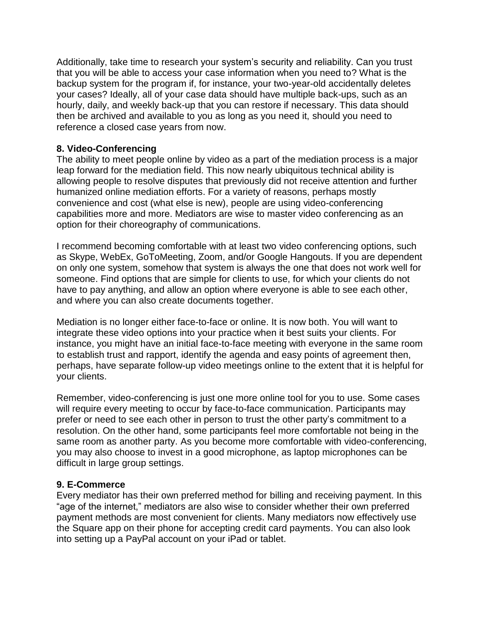Additionally, take time to research your system's security and reliability. Can you trust that you will be able to access your case information when you need to? What is the backup system for the program if, for instance, your two-year-old accidentally deletes your cases? Ideally, all of your case data should have multiple back-ups, such as an hourly, daily, and weekly back-up that you can restore if necessary. This data should then be archived and available to you as long as you need it, should you need to reference a closed case years from now.

### **8. Video-Conferencing**

The ability to meet people online by video as a part of the mediation process is a major leap forward for the mediation field. This now nearly ubiquitous technical ability is allowing people to resolve disputes that previously did not receive attention and further humanized online mediation efforts. For a variety of reasons, perhaps mostly convenience and cost (what else is new), people are using video-conferencing capabilities more and more. Mediators are wise to master video conferencing as an option for their choreography of communications.

I recommend becoming comfortable with at least two video conferencing options, such as Skype, WebEx, GoToMeeting, Zoom, and/or Google Hangouts. If you are dependent on only one system, somehow that system is always the one that does not work well for someone. Find options that are simple for clients to use, for which your clients do not have to pay anything, and allow an option where everyone is able to see each other, and where you can also create documents together.

Mediation is no longer either face-to-face or online. It is now both. You will want to integrate these video options into your practice when it best suits your clients. For instance, you might have an initial face-to-face meeting with everyone in the same room to establish trust and rapport, identify the agenda and easy points of agreement then, perhaps, have separate follow-up video meetings online to the extent that it is helpful for your clients.

Remember, video-conferencing is just one more online tool for you to use. Some cases will require every meeting to occur by face-to-face communication. Participants may prefer or need to see each other in person to trust the other party's commitment to a resolution. On the other hand, some participants feel more comfortable not being in the same room as another party. As you become more comfortable with video-conferencing, you may also choose to invest in a good microphone, as laptop microphones can be difficult in large group settings.

## **9. E-Commerce**

Every mediator has their own preferred method for billing and receiving payment. In this "age of the internet," mediators are also wise to consider whether their own preferred payment methods are most convenient for clients. Many mediators now effectively use the Square app on their phone for accepting credit card payments. You can also look into setting up a PayPal account on your iPad or tablet.